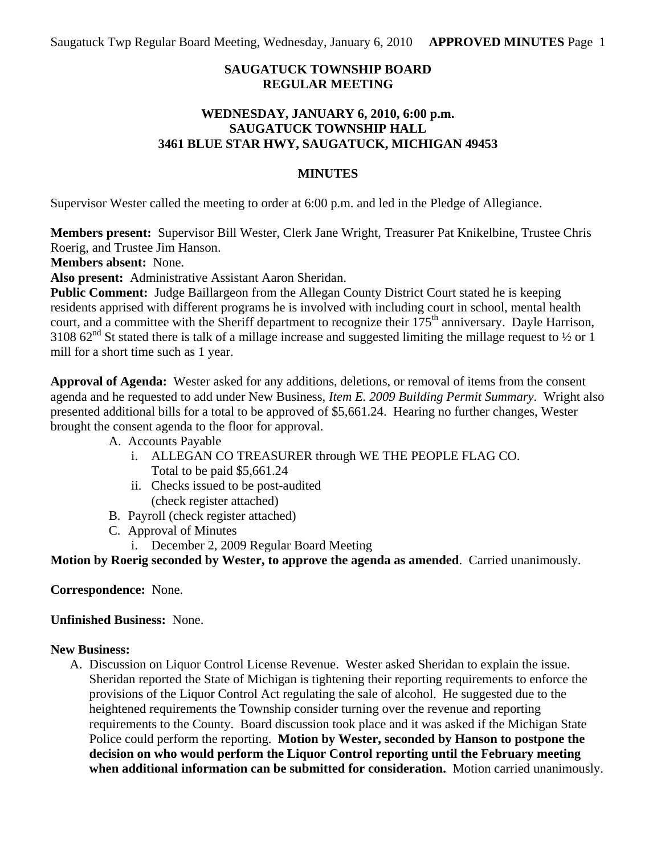Saugatuck Twp Regular Board Meeting, Wednesday, January 6, 2010 **APPROVED MINUTES** Page 1

### **SAUGATUCK TOWNSHIP BOARD REGULAR MEETING**

#### **WEDNESDAY, JANUARY 6, 2010, 6:00 p.m. SAUGATUCK TOWNSHIP HALL 3461 BLUE STAR HWY, SAUGATUCK, MICHIGAN 49453**

#### **MINUTES**

Supervisor Wester called the meeting to order at 6:00 p.m. and led in the Pledge of Allegiance.

**Members present:** Supervisor Bill Wester, Clerk Jane Wright, Treasurer Pat Knikelbine, Trustee Chris Roerig, and Trustee Jim Hanson.

**Members absent:** None.

**Also present:** Administrative Assistant Aaron Sheridan.

**Public Comment:** Judge Baillargeon from the Allegan County District Court stated he is keeping residents apprised with different programs he is involved with including court in school, mental health court, and a committee with the Sheriff department to recognize their  $175<sup>th</sup>$  anniversary. Dayle Harrison, 3108  $62<sup>nd</sup>$  St stated there is talk of a millage increase and suggested limiting the millage request to  $\frac{1}{2}$  or 1 mill for a short time such as 1 year.

**Approval of Agenda:** Wester asked for any additions, deletions, or removal of items from the consent agenda and he requested to add under New Business, *Item E. 2009 Building Permit Summary*. Wright also presented additional bills for a total to be approved of \$5,661.24. Hearing no further changes, Wester brought the consent agenda to the floor for approval.

A. Accounts Payable

- i. ALLEGAN CO TREASURER through WE THE PEOPLE FLAG CO. Total to be paid \$5,661.24
- ii. Checks issued to be post-audited (check register attached)
- B. Payroll (check register attached)
- C. Approval of Minutes
	- i. December 2, 2009 Regular Board Meeting

**Motion by Roerig seconded by Wester, to approve the agenda as amended**. Carried unanimously.

**Correspondence:** None.

**Unfinished Business:** None.

## **New Business:**

A. Discussion on Liquor Control License Revenue. Wester asked Sheridan to explain the issue. Sheridan reported the State of Michigan is tightening their reporting requirements to enforce the provisions of the Liquor Control Act regulating the sale of alcohol. He suggested due to the heightened requirements the Township consider turning over the revenue and reporting requirements to the County. Board discussion took place and it was asked if the Michigan State Police could perform the reporting. **Motion by Wester, seconded by Hanson to postpone the decision on who would perform the Liquor Control reporting until the February meeting when additional information can be submitted for consideration.** Motion carried unanimously.